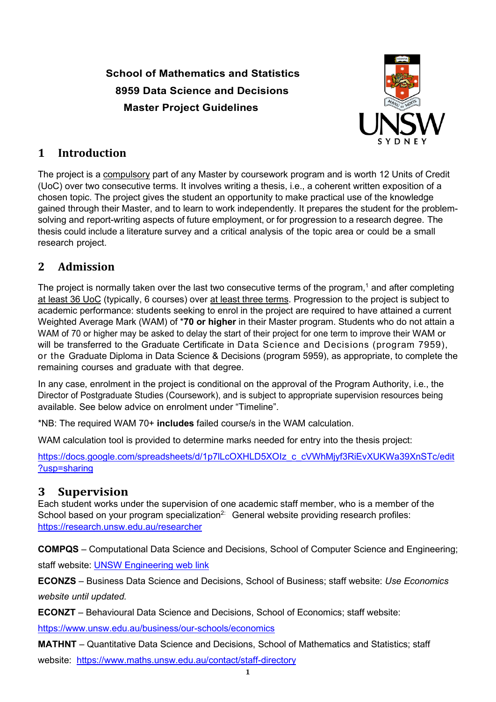# **School of Mathematics and Statistics 8959 Data Science and Decisions Master Project Guidelines**



### **1 Introduction**

The project is a compulsory part of any Master by coursework program and is worth 12 Units of Credit (UoC) over two consecutive terms. It involves writing a thesis, i.e., a coherent written exposition of a chosen topic. The project gives the student an opportunity to make practical use of the knowledge gained through their Master, and to learn to work independently. It prepares the student for the problemsolving and report-writing aspects of future employment, or for progression to a research degree. The thesis could include a literature survey and a critical analysis of the topic area or could be a small research project.

## **2 Admission**

The project is normally taken over the last two consecutive terms of the program,<sup>1</sup> and after completing at least 36 UoC (typically, 6 courses) over at least three terms. Progression to the project is subject to academic performance: students seeking to enrol in the project are required to have attained a current Weighted Average Mark (WAM) of \***70 or higher** in their Master program. Students who do not attain a WAM of 70 or higher may be asked to delay the start of their project for one term to improve their WAM or will be transferred to the Graduate Certificate in Data Science and Decisions (program 7959), or the Graduate Diploma in Data Science & Decisions (program 5959), as appropriate, to complete the remaining courses and graduate with that degree.

In any case, enrolment in the project is conditional on the approval of the Program Authority, i.e., the Director of Postgraduate Studies (Coursework), and is subject to appropriate supervision resources being available. See below advice on enrolment under "Timeline".

\*NB: The required WAM 70+ **includes** failed course/s in the WAM calculation.

WAM calculation tool is provided to determine marks needed for entry into the thesis project:

[https://docs.google.com/spreadsheets/d/1p7lLcOXHLD5XOIz\\_c\\_cVWhMjyf3RiEvXUKWa39XnSTc/edit](https://docs.google.com/spreadsheets/d/1p7lLcOXHLD5XOIz_c_cVWhMjyf3RiEvXUKWa39XnSTc/edit?usp=sharing) [?usp=sharing](https://docs.google.com/spreadsheets/d/1p7lLcOXHLD5XOIz_c_cVWhMjyf3RiEvXUKWa39XnSTc/edit?usp=sharing)

### **3 Supervision**

Each student works under the supervision of one academic staff member, who is a member of the School based on your program specialization<sup>2:</sup> General website providing research profiles: <https://research.unsw.edu.au/researcher>

**COMPQS** – Computational Data Science and Decisions, School of Computer Science and Engineering; staff website: [UNSW Engineering web link](https://www.unsw.edu.au/engineering/about-us/our-people#search=&filters=f.School%257CstaffSchool%3ASch%253A%2BComputer%2BScience%2B%2526%2BEng+f.Availability%257CstaffAvailability%3A1&sort=metastaffLastName&startRank=1&numRanks=12) 

**ECONZS** – Business Data Science and Decisions, School of Business; staff website: *Use Economics website until updated.*

**ECONZT** – Behavioural Data Science and Decisions, School of Economics; staff website:

<https://www.unsw.edu.au/business/our-schools/economics>

**MATHNT** – Quantitative Data Science and Decisions, School of Mathematics and Statistics; staff website: <https://www.maths.unsw.edu.au/contact/staff-directory>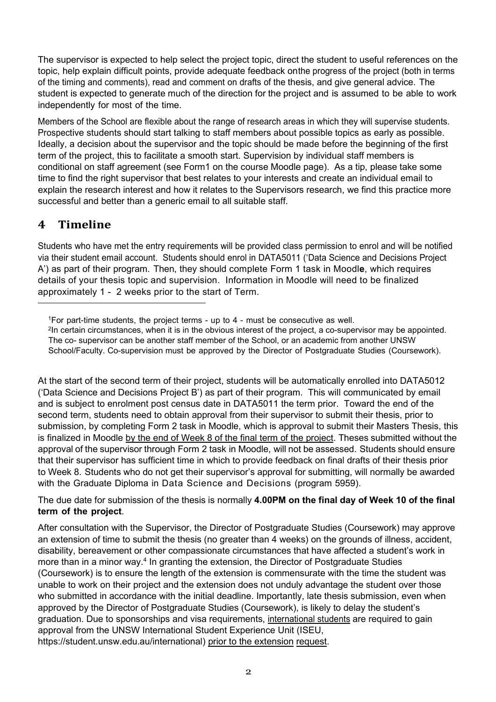The supervisor is expected to help select the project topic, direct the student to useful references on the topic, help explain difficult points, provide adequate feedback onthe progress of the project (both in terms of the timing and comments), read and comment on drafts of the thesis, and give general advice. The student is expected to generate much of the direction for the project and is assumed to be able to work independently for most of the time.

Members of the School are flexible about the range of research areas in which they will supervise students. Prospective students should start talking to staff members about possible topics as early as possible. Ideally, a decision about the supervisor and the topic should be made before the beginning of the first term of the project, this to facilitate a smooth start. Supervision by individual staff members is conditional on staff agreement (see Form1 on the course Moodle page). As a tip, please take some time to find the right supervisor that best relates to your interests and create an individual email to explain the research interest and how it relates to the Supervisors research, we find this practice more successful and better than a generic email to all suitable staff.

### **4 Timeline**

Students who have met the entry requirements will be provided class permission to enrol and will be notified via their student email account. Students should enrol in DATA5011 ('Data Science and Decisions Project A') as part of their program. Then, they should complete Form 1 task in Moodl**e**, which requires details of your thesis topic and supervision. Information in Moodle will need to be finalized approximately 1 - 2 weeks prior to the start of Term.

2In certain circumstances, when it is in the obvious interest of the project, a co-supervisor may be appointed. The co- supervisor can be another staff member of the School, or an academic from another UNSW School/Faculty. Co-supervision must be approved by the Director of Postgraduate Studies (Coursework).

At the start of the second term of their project, students will be automatically enrolled into DATA5012 ('Data Science and Decisions Project B') as part of their program. This will communicated by email and is subject to enrolment post census date in DATA5011 the term prior. Toward the end of the second term, students need to obtain approval from their supervisor to submit their thesis, prior to submission, by completing Form 2 task in Moodle, which is approval to submit their Masters Thesis, this is finalized in Moodle by the end of Week 8 of the final term of the project. Theses submitted without the approval of the supervisor through Form 2 task in Moodle, will not be assessed. Students should ensure that their supervisor has sufficient time in which to provide feedback on final drafts of their thesis prior to Week 8. Students who do not get their supervisor's approval for submitting, will normally be awarded with the Graduate Diploma in Data Science and Decisions (program 5959).

The due date for submission of the thesis is normally **4.00PM on the final day of Week 10 of the final term of the project**.

After consultation with the Supervisor, the Director of Postgraduate Studies (Coursework) may approve an extension of time to submit the thesis (no greater than 4 weeks) on the grounds of illness, accident, disability, bereavement or other compassionate circumstances that have affected a student's work in more than in a minor way.<sup>4</sup> In granting the extension, the Director of Postgraduate Studies (Coursework) is to ensure the length of the extension is commensurate with the time the student was unable to work on their project and the extension does not unduly advantage the student over those who submitted in accordance with the initial deadline. Importantly, late thesis submission, even when approved by the Director of Postgraduate Studies (Coursework), is likely to delay the student's graduation. Due to sponsorships and visa requirements, international students are required to gain approval from the UNSW International Student Experience Unit (ISEU, [https://student.unsw.edu.au/international\)](https://student.unsw.edu.au/international) prior to the extension request.

<span id="page-1-0"></span><sup>1</sup>For part-time students, the project terms - up to 4 - must be consecutive as well.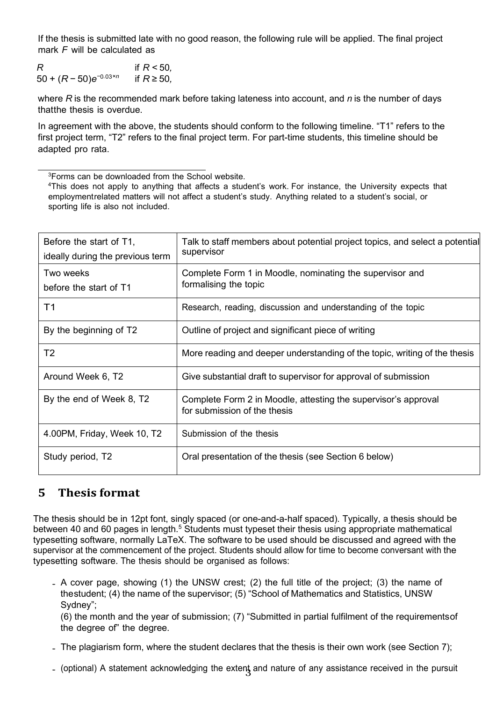If the thesis is submitted late with no good reason, the following rule will be applied. The final project mark *F* will be calculated as

*R* if *R* < 50*,*<br>50 + (*R* − 50)*e*<sup>-0.03×n</sup> if *R* ≥ 50*.* 50 + (*R −* 50)*e<sup>−</sup>*0*.*03*×n* if *R ≥* 50*,*

where *R* is the recommended mark before taking lateness into account, and *n* is the number of days thatthe thesis is overdue.

In agreement with the above, the students should conform to the following timeline. "T1" refers to the first project term, "T2" refers to the final project term. For part-time students, this timeline should be adapted pro rata.

<span id="page-2-0"></span>3Forms can be downloaded from the School website.

<sup>4</sup>This does not apply to anything that affects a student's work. For instance, the University expects that employmentrelated matters will not affect a student's study. Anything related to a student's social, or sporting life is also not included.

| Before the start of T1,                                                 | Talk to staff members about potential project topics, and select a potential<br>supervisor     |
|-------------------------------------------------------------------------|------------------------------------------------------------------------------------------------|
| ideally during the previous term<br>Two weeks<br>before the start of T1 | Complete Form 1 in Moodle, nominating the supervisor and<br>formalising the topic              |
| T1                                                                      | Research, reading, discussion and understanding of the topic                                   |
| By the beginning of T2                                                  | Outline of project and significant piece of writing                                            |
| T <sub>2</sub>                                                          | More reading and deeper understanding of the topic, writing of the thesis                      |
| Around Week 6, T2                                                       | Give substantial draft to supervisor for approval of submission                                |
| By the end of Week 8, T2                                                | Complete Form 2 in Moodle, attesting the supervisor's approval<br>for submission of the thesis |
| 4.00PM, Friday, Week 10, T2                                             | Submission of the thesis                                                                       |
| Study period, T2                                                        | Oral presentation of the thesis (see Section 6 below)                                          |

#### **5 Thesis format**

The thesis should be in 12pt font, singly spaced (or one-and-a-half spaced). Typically, a thesis should be between 40 and 60 pages in length.<sup>5</sup> Students must typeset their thesis using appropriate mathematical typesetting software, normally LaTeX. The software to be used should be discussed and agreed with the supervisor at the commencement of the project. Students should allow for time to become conversant with the typesetting software. The thesis should be organised as follows:

• A cover page, showing (1) the UNSW crest; (2) the full title of the project; (3) the name of thestudent; (4) the name of the supervisor; (5) "School of Mathematics and Statistics, UNSW Sydney";

(6) the month and the year of submission; (7) "Submitted in partial fulfilment of the requirementsof the degree of" the degree.

- The plagiarism form, where the student declares that the thesis is their own work (see Section [7\);](#page-4-0)
- (optional) A statement acknowledging the exten<del>t</del> and nature of any assistance received in the pursuit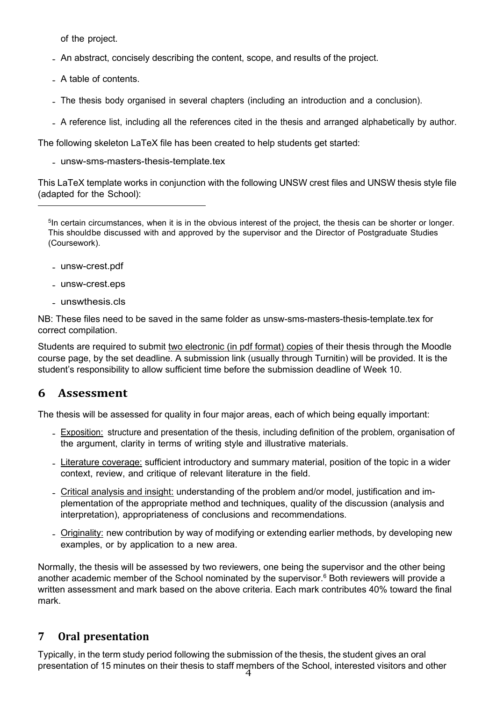of the project.

- An abstract, concisely describing the content, scope, and results of the project.
- A table of contents.
- The thesis body organised in several chapters (including an introduction and <sup>a</sup> conclusion).
- <sup>A</sup> reference list, including all the references cited in the thesis and arranged alphabetically by author.

The following skeleton LaTeX file has been created to help students get started:

• [unsw-sms-masters-thesis-template.tex](http://www.maths.unsw.edu.au/sites/default/files/unsw-sms-masters-thesis-template.tex)

This LaTeX template works in conjunction with the following UNSW crest files and UNSW thesis style file (adapted for the School):

<span id="page-3-1"></span><sup>5</sup>In certain circumstances, when it is in the obvious interest of the project, the thesis can be shorter or longer. This shouldbe discussed with and approved by the supervisor and the Director of Postgraduate Studies (Coursework).

- [unsw-crest.pdf](http://www.maths.unsw.edu.au/sites/default/files/unsw-crest.pdf)
- [unsw-crest.eps](http://www.maths.unsw.edu.au/sites/default/files/unsw-crest.eps)
- [unswthesis.cls](http://www.maths.unsw.edu.au/sites/default/files/unswthesis.cls)

NB: These files need to be saved in the same folder as unsw-sms-masters-thesis-template.tex for correct compilation.

Students are required to submit two electronic (in pdf format) copies of their thesis through the Moodle course page, by the set deadline. A submission link (usually through Turnitin) will be provided. It is the student's responsibility to allow sufficient time before the submission deadline of Week 10.

#### <span id="page-3-0"></span>**6 Assessment**

The thesis will be assessed for quality in four major areas, each of which being equally important:

- Exposition: structure and presentation of the thesis, including definition of the problem, organisation of the argument, clarity in terms of writing style and illustrative materials.
- Literature coverage: sufficient introductory and summary material, position of the topic in a wider context, review, and critique of relevant literature in the field.
- Critical analysis and insight: understanding of the problem and/or model, justification and implementation of the appropriate method and techniques, quality of the discussion (analysis and interpretation), appropriateness of conclusions and recommendations.
- Originality: new contribution by way of modifying or extending earlier methods, by developing new examples, or by application to a new area.

Normally, the thesis will be assessed by two reviewers, one being the supervisor and the other being another academic member of the School nominated by the supervisor. $6$  Both reviewers will provide a written assessment and mark based on the above criteria. Each mark contributes 40% toward the final mark.

#### **7 Oral presentation**

4 presentation of 15 minutes on their thesis to staff members of the School, interested visitors and otherTypically, in the term study period following the submission of the thesis, the student gives an oral